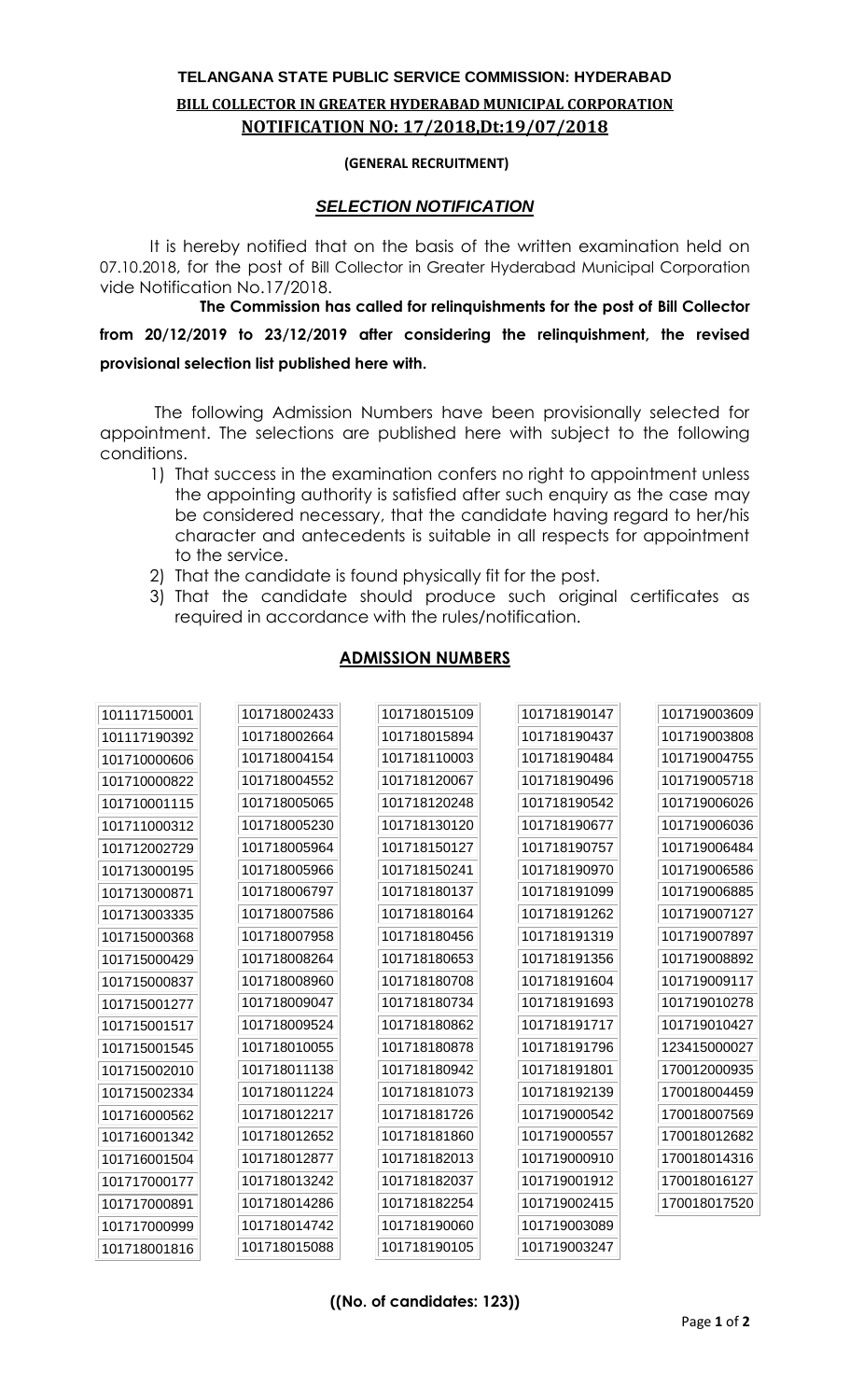## **TELANGANA STATE PUBLIC SERVICE COMMISSION: HYDERABAD BILL COLLECTOR IN GREATER HYDERABAD MUNICIPAL CORPORATION NOTIFICATION NO: 17/2018,Dt:19/07/2018**

## **(GENERAL RECRUITMENT)**

## *SELECTION NOTIFICATION*

It is hereby notified that on the basis of the written examination held on 07.10.2018, for the post of Bill Collector in Greater Hyderabad Municipal Corporation vide Notification No.17/2018.

**The Commission has called for relinquishments for the post of Bill Collector from 20/12/2019 to 23/12/2019 after considering the relinquishment, the revised provisional selection list published here with.**

The following Admission Numbers have been provisionally selected for appointment. The selections are published here with subject to the following conditions.

- 1) That success in the examination confers no right to appointment unless the appointing authority is satisfied after such enquiry as the case may be considered necessary, that the candidate having regard to her/his character and antecedents is suitable in all respects for appointment to the service.
- 2) That the candidate is found physically fit for the post.
- 3) That the candidate should produce such original certificates as required in accordance with the rules/notification.

## **ADMISSION NUMBERS**

| 101117150001 | 101718002433 | 101718015109 | 101718190147 | 101719003609 |
|--------------|--------------|--------------|--------------|--------------|
| 101117190392 | 101718002664 | 101718015894 | 101718190437 | 101719003808 |
| 101710000606 | 101718004154 | 101718110003 | 101718190484 | 101719004755 |
| 101710000822 | 101718004552 | 101718120067 | 101718190496 | 101719005718 |
| 101710001115 | 101718005065 | 101718120248 | 101718190542 | 101719006026 |
| 101711000312 | 101718005230 | 101718130120 | 101718190677 | 101719006036 |
| 101712002729 | 101718005964 | 101718150127 | 101718190757 | 101719006484 |
| 101713000195 | 101718005966 | 101718150241 | 101718190970 | 101719006586 |
| 101713000871 | 101718006797 | 101718180137 | 101718191099 | 101719006885 |
| 101713003335 | 101718007586 | 101718180164 | 101718191262 | 101719007127 |
| 101715000368 | 101718007958 | 101718180456 | 101718191319 | 101719007897 |
| 101715000429 | 101718008264 | 101718180653 | 101718191356 | 101719008892 |
| 101715000837 | 101718008960 | 101718180708 | 101718191604 | 101719009117 |
| 101715001277 | 101718009047 | 101718180734 | 101718191693 | 101719010278 |
| 101715001517 | 101718009524 | 101718180862 | 101718191717 | 101719010427 |
| 101715001545 | 101718010055 | 101718180878 | 101718191796 | 123415000027 |
| 101715002010 | 101718011138 | 101718180942 | 101718191801 | 170012000935 |
| 101715002334 | 101718011224 | 101718181073 | 101718192139 | 170018004459 |
| 101716000562 | 101718012217 | 101718181726 | 101719000542 | 170018007569 |
| 101716001342 | 101718012652 | 101718181860 | 101719000557 | 170018012682 |
| 101716001504 | 101718012877 | 101718182013 | 101719000910 | 170018014316 |
| 101717000177 | 101718013242 | 101718182037 | 101719001912 | 170018016127 |
| 101717000891 | 101718014286 | 101718182254 | 101719002415 | 170018017520 |
| 101717000999 | 101718014742 | 101718190060 | 101719003089 |              |
| 101718001816 | 101718015088 | 101718190105 | 101719003247 |              |

**((No. of candidates: 123))**